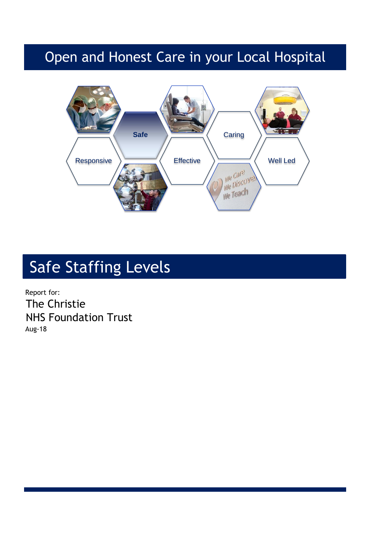## Open and Honest Care in your Local Hospital



# Safe Staffing Levels

Report for: The Christie NHS Foundation Trust Aug-18